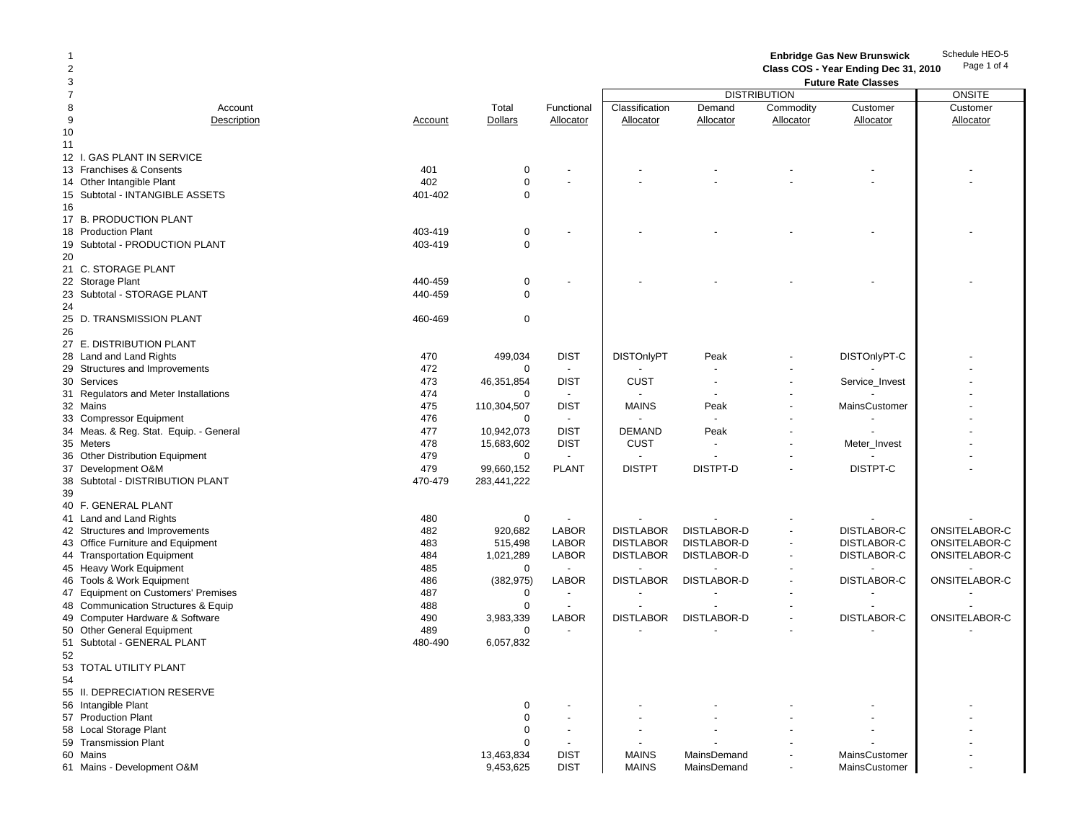Schedule HEO-5**Enbridge Gas New Brunswick** 

Page 1 of 4

**Class COS - Year Ending Dec 31, 2010**

| 3              |                                        |                |                |                | <b>Future Rate Classes</b> |                          |                |                |               |  |
|----------------|----------------------------------------|----------------|----------------|----------------|----------------------------|--------------------------|----------------|----------------|---------------|--|
| $\overline{7}$ |                                        |                |                |                |                            | <b>DISTRIBUTION</b>      |                |                | ONSITE        |  |
| 8              | Account                                |                | Total          | Functional     | Classification             | Demand                   | Commodity      | Customer       | Customer      |  |
| 9              | Description                            | <b>Account</b> | <b>Dollars</b> | Allocator      | Allocator                  | Allocator                | Allocator      | Allocator      | Allocator     |  |
| 10             |                                        |                |                |                |                            |                          |                |                |               |  |
|                |                                        |                |                |                |                            |                          |                |                |               |  |
| 11             |                                        |                |                |                |                            |                          |                |                |               |  |
|                | 12 I. GAS PLANT IN SERVICE             |                |                |                |                            |                          |                |                |               |  |
|                | 13 Franchises & Consents               | 401            | $\mathbf 0$    |                |                            |                          |                |                |               |  |
|                | 14 Other Intangible Plant              | 402            | $\mathbf 0$    |                |                            |                          |                |                |               |  |
|                | 15 Subtotal - INTANGIBLE ASSETS        | 401-402        | $\Omega$       |                |                            |                          |                |                |               |  |
| 16             |                                        |                |                |                |                            |                          |                |                |               |  |
|                | 17 B. PRODUCTION PLANT                 |                |                |                |                            |                          |                |                |               |  |
|                |                                        | 403-419        |                |                |                            |                          |                |                |               |  |
|                | 18 Production Plant                    |                | 0              |                |                            |                          |                |                |               |  |
|                | 19 Subtotal - PRODUCTION PLANT         | 403-419        | $\mathbf 0$    |                |                            |                          |                |                |               |  |
| 20             |                                        |                |                |                |                            |                          |                |                |               |  |
|                | 21 C. STORAGE PLANT                    |                |                |                |                            |                          |                |                |               |  |
|                | 22 Storage Plant                       | 440-459        | $\mathbf 0$    |                |                            |                          |                |                |               |  |
|                | 23 Subtotal - STORAGE PLANT            | 440-459        | $\mathbf 0$    |                |                            |                          |                |                |               |  |
| 24             |                                        |                |                |                |                            |                          |                |                |               |  |
| 25             | D. TRANSMISSION PLANT                  | 460-469        | 0              |                |                            |                          |                |                |               |  |
|                |                                        |                |                |                |                            |                          |                |                |               |  |
| 26             |                                        |                |                |                |                            |                          |                |                |               |  |
|                | 27 E. DISTRIBUTION PLANT               |                |                |                |                            |                          |                |                |               |  |
|                | 28 Land and Land Rights                | 470            | 499,034        | <b>DIST</b>    | <b>DISTOnlyPT</b>          | Peak                     |                | DISTOnlyPT-C   |               |  |
|                | 29 Structures and Improvements         | 472            | $\mathbf 0$    |                |                            |                          |                |                |               |  |
|                | 30 Services                            | 473            | 46,351,854     | <b>DIST</b>    | <b>CUST</b>                | $\overline{\phantom{a}}$ |                | Service_Invest |               |  |
|                | 31 Regulators and Meter Installations  | 474            | $\mathbf 0$    |                |                            |                          |                |                |               |  |
|                | 32 Mains                               | 475            | 110,304,507    | <b>DIST</b>    | <b>MAINS</b>               | Peak                     |                | MainsCustomer  |               |  |
|                | 33 Compressor Equipment                | 476            | $\mathbf 0$    | $\sim$         |                            |                          |                |                |               |  |
|                |                                        |                |                |                |                            |                          |                |                |               |  |
|                | 34 Meas. & Reg. Stat. Equip. - General | 477            | 10,942,073     | <b>DIST</b>    | <b>DEMAND</b>              | Peak                     |                |                |               |  |
|                | 35 Meters                              | 478            | 15,683,602     | <b>DIST</b>    | <b>CUST</b>                |                          |                | Meter_Invest   |               |  |
|                | 36 Other Distribution Equipment        | 479            | $\mathbf 0$    | $\sim$         |                            |                          |                |                |               |  |
|                | 37 Development O&M                     | 479            | 99,660,152     | <b>PLANT</b>   | <b>DISTPT</b>              | DISTPT-D                 |                | DISTPT-C       |               |  |
| 38             | Subtotal - DISTRIBUTION PLANT          | 470-479        | 283,441,222    |                |                            |                          |                |                |               |  |
| 39             |                                        |                |                |                |                            |                          |                |                |               |  |
|                | 40 F. GENERAL PLANT                    |                |                |                |                            |                          |                |                |               |  |
|                | 41 Land and Land Rights                | 480            | 0              |                |                            |                          |                |                |               |  |
|                |                                        |                |                |                |                            |                          |                |                | ONSITELABOR-C |  |
|                | 42 Structures and Improvements         | 482            | 920,682        | <b>LABOR</b>   | <b>DISTLABOR</b>           | <b>DISTLABOR-D</b>       |                | DISTLABOR-C    |               |  |
|                | 43 Office Furniture and Equipment      | 483            | 515,498        | <b>LABOR</b>   | <b>DISTLABOR</b>           | DISTLABOR-D              |                | DISTLABOR-C    | ONSITELABOR-C |  |
|                | 44 Transportation Equipment            | 484            | 1,021,289      | <b>LABOR</b>   | <b>DISTLABOR</b>           | DISTLABOR-D              | $\blacksquare$ | DISTLABOR-C    | ONSITELABOR-C |  |
|                | 45 Heavy Work Equipment                | 485            | $\mathbf 0$    |                |                            |                          |                |                |               |  |
|                | 46 Tools & Work Equipment              | 486            | (382, 975)     | <b>LABOR</b>   | <b>DISTLABOR</b>           | <b>DISTLABOR-D</b>       |                | DISTLABOR-C    | ONSITELABOR-C |  |
|                | 47 Equipment on Customers' Premises    | 487            | 0              |                |                            |                          |                |                |               |  |
| 48             | Communication Structures & Equip       | 488            | $\mathbf 0$    | $\blacksquare$ |                            |                          |                |                |               |  |
| 49             | Computer Hardware & Software           | 490            | 3,983,339      | <b>LABOR</b>   | <b>DISTLABOR</b>           | <b>DISTLABOR-D</b>       |                | DISTLABOR-C    | ONSITELABOR-C |  |
|                |                                        | 489            | $\mathbf 0$    |                |                            |                          |                |                |               |  |
|                | 50 Other General Equipment             |                |                |                |                            |                          |                |                |               |  |
|                | 51 Subtotal - GENERAL PLANT            | 480-490        | 6,057,832      |                |                            |                          |                |                |               |  |
| 52             |                                        |                |                |                |                            |                          |                |                |               |  |
|                | 53 TOTAL UTILITY PLANT                 |                |                |                |                            |                          |                |                |               |  |
| 54             |                                        |                |                |                |                            |                          |                |                |               |  |
|                | 55 II. DEPRECIATION RESERVE            |                |                |                |                            |                          |                |                |               |  |
|                | 56 Intangible Plant                    |                | $\mathbf 0$    |                |                            |                          |                |                |               |  |
|                | 57 Production Plant                    |                | $\mathbf 0$    |                |                            |                          |                |                |               |  |
|                |                                        |                | $\Omega$       |                |                            |                          |                |                |               |  |
|                | 58 Local Storage Plant                 |                |                |                |                            |                          |                |                |               |  |
|                | 59 Transmission Plant                  |                | $\Omega$       |                |                            |                          |                |                |               |  |
|                | 60 Mains                               |                | 13,463,834     | <b>DIST</b>    | <b>MAINS</b>               | MainsDemand              |                | MainsCustomer  |               |  |
|                | 61 Mains - Development O&M             |                | 9,453,625      | <b>DIST</b>    | <b>MAINS</b>               | MainsDemand              |                | MainsCustomer  |               |  |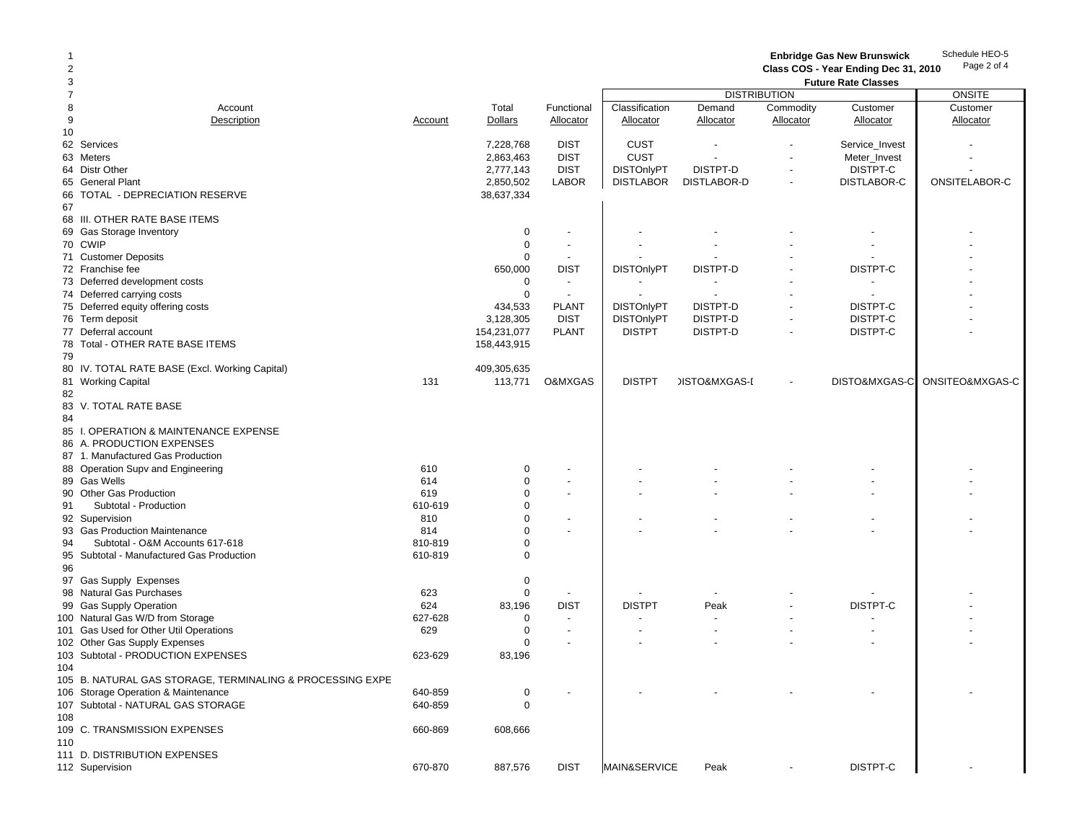Schedule HEO-5 Page 2 of 4 **Enbridge Gas New Brunswick** 

**Class COS - Year Ending Dec 31, 2010**

| 3              |                                                           |         |                |                | <b>Future Rate Classes</b> |                          |                |                |                 |  |
|----------------|-----------------------------------------------------------|---------|----------------|----------------|----------------------------|--------------------------|----------------|----------------|-----------------|--|
| $\overline{7}$ |                                                           |         |                |                |                            | <b>DISTRIBUTION</b>      |                |                | <b>ONSITE</b>   |  |
| 8              | Account                                                   |         | Total          | Functional     | Classification             | Demand                   | Commodity      | Customer       | Customer        |  |
| 9              | Description                                               | Account | <b>Dollars</b> | Allocator      | Allocator                  | Allocator                | Allocator      | Allocator      | Allocator       |  |
| 10             |                                                           |         |                |                |                            |                          |                |                |                 |  |
|                |                                                           |         |                |                |                            |                          |                |                |                 |  |
|                | 62 Services                                               |         | 7,228,768      | <b>DIST</b>    | CUST                       |                          |                | Service_Invest |                 |  |
|                | 63 Meters                                                 |         | 2,863,463      | <b>DIST</b>    | CUST                       |                          |                | Meter_Invest   |                 |  |
|                | 64 Distr Other                                            |         | 2,777,143      | <b>DIST</b>    | <b>DISTOnlyPT</b>          | DISTPT-D                 |                | DISTPT-C       |                 |  |
|                | 65 General Plant                                          |         | 2,850,502      | <b>LABOR</b>   | <b>DISTLABOR</b>           | DISTLABOR-D              |                | DISTLABOR-C    | ONSITELABOR-C   |  |
| 66             | TOTAL - DEPRECIATION RESERVE                              |         | 38,637,334     |                |                            |                          |                |                |                 |  |
| 67             |                                                           |         |                |                |                            |                          |                |                |                 |  |
|                | 68 III. OTHER RATE BASE ITEMS                             |         |                |                |                            |                          |                |                |                 |  |
|                | 69 Gas Storage Inventory                                  |         | 0              |                |                            |                          |                |                |                 |  |
|                |                                                           |         |                | $\overline{a}$ |                            |                          |                |                |                 |  |
|                | 70 CWIP                                                   |         | 0              |                |                            |                          |                |                |                 |  |
|                | 71 Customer Deposits                                      |         | $\Omega$       |                |                            |                          |                |                |                 |  |
|                | 72 Franchise fee                                          |         | 650,000        | <b>DIST</b>    | <b>DISTOnlyPT</b>          | DISTPT-D                 |                | DISTPT-C       |                 |  |
|                | 73 Deferred development costs                             |         | 0              |                |                            |                          |                |                |                 |  |
|                | 74 Deferred carrying costs                                |         | $\mathbf 0$    |                |                            |                          |                |                |                 |  |
|                | 75 Deferred equity offering costs                         |         | 434,533        | <b>PLANT</b>   | <b>DISTOnlyPT</b>          | DISTPT-D                 |                | DISTPT-C       |                 |  |
|                | 76 Term deposit                                           |         | 3,128,305      | <b>DIST</b>    | <b>DISTOnlyPT</b>          | DISTPT-D                 |                | DISTPT-C       |                 |  |
|                | 77 Deferral account                                       |         | 154,231,077    | <b>PLANT</b>   | <b>DISTPT</b>              | DISTPT-D                 |                | DISTPT-C       |                 |  |
|                |                                                           |         |                |                |                            |                          |                |                |                 |  |
|                | 78 Total - OTHER RATE BASE ITEMS                          |         | 158,443,915    |                |                            |                          |                |                |                 |  |
| 79             |                                                           |         |                |                |                            |                          |                |                |                 |  |
|                | 80 IV. TOTAL RATE BASE (Excl. Working Capital)            |         | 409,305,635    |                |                            |                          |                |                |                 |  |
|                | 81 Working Capital                                        | 131     | 113,771        | O&MXGAS        | <b>DISTPT</b>              | <b>JISTO&amp;MXGAS-I</b> |                | DISTO&MXGAS-C  | ONSITEO&MXGAS-C |  |
| 82             |                                                           |         |                |                |                            |                          |                |                |                 |  |
|                | 83 V. TOTAL RATE BASE                                     |         |                |                |                            |                          |                |                |                 |  |
| 84             |                                                           |         |                |                |                            |                          |                |                |                 |  |
|                | 85 I. OPERATION & MAINTENANCE EXPENSE                     |         |                |                |                            |                          |                |                |                 |  |
|                |                                                           |         |                |                |                            |                          |                |                |                 |  |
|                | 86 A. PRODUCTION EXPENSES                                 |         |                |                |                            |                          |                |                |                 |  |
|                | 87 1. Manufactured Gas Production                         |         |                |                |                            |                          |                |                |                 |  |
|                | 88 Operation Supv and Engineering                         | 610     | $\Omega$       |                |                            |                          |                |                |                 |  |
|                | 89 Gas Wells                                              | 614     | 0              |                |                            |                          |                |                |                 |  |
|                | 90 Other Gas Production                                   | 619     | $\Omega$       |                |                            |                          |                |                |                 |  |
| 91             | Subtotal - Production                                     | 610-619 | $\Omega$       |                |                            |                          |                |                |                 |  |
|                | 92 Supervision                                            | 810     | $\Omega$       |                |                            |                          |                |                |                 |  |
|                | 93 Gas Production Maintenance                             | 814     | $\Omega$       |                |                            |                          |                |                |                 |  |
| 94             | Subtotal - O&M Accounts 617-618                           | 810-819 | $\Omega$       |                |                            |                          |                |                |                 |  |
|                |                                                           |         | $\Omega$       |                |                            |                          |                |                |                 |  |
|                | 95 Subtotal - Manufactured Gas Production                 | 610-819 |                |                |                            |                          |                |                |                 |  |
| 96             |                                                           |         |                |                |                            |                          |                |                |                 |  |
|                | 97 Gas Supply Expenses                                    |         | $\Omega$       |                |                            |                          |                |                |                 |  |
|                | 98 Natural Gas Purchases                                  | 623     | $\mathbf 0$    |                |                            |                          |                |                |                 |  |
|                | 99 Gas Supply Operation                                   | 624     | 83,196         | <b>DIST</b>    | <b>DISTPT</b>              | Peak                     |                | DISTPT-C       |                 |  |
|                | 100 Natural Gas W/D from Storage                          | 627-628 | 0              |                |                            |                          |                |                |                 |  |
|                | 101 Gas Used for Other Util Operations                    | 629     | $\mathbf 0$    |                |                            |                          |                |                |                 |  |
|                | 102 Other Gas Supply Expenses                             |         | $\Omega$       |                |                            |                          |                |                |                 |  |
|                | 103 Subtotal - PRODUCTION EXPENSES                        | 623-629 | 83,196         |                |                            |                          |                |                |                 |  |
|                |                                                           |         |                |                |                            |                          |                |                |                 |  |
| 104            |                                                           |         |                |                |                            |                          |                |                |                 |  |
|                | 105 B. NATURAL GAS STORAGE, TERMINALING & PROCESSING EXPE |         |                |                |                            |                          |                |                |                 |  |
|                | 106 Storage Operation & Maintenance                       | 640-859 | $\mathbf 0$    |                |                            |                          |                |                |                 |  |
|                | 107 Subtotal - NATURAL GAS STORAGE                        | 640-859 | $\mathbf 0$    |                |                            |                          |                |                |                 |  |
| 108            |                                                           |         |                |                |                            |                          |                |                |                 |  |
|                | 109 C. TRANSMISSION EXPENSES                              | 660-869 | 608,666        |                |                            |                          |                |                |                 |  |
| 110            |                                                           |         |                |                |                            |                          |                |                |                 |  |
|                | 111 D. DISTRIBUTION EXPENSES                              |         |                |                |                            |                          |                |                |                 |  |
|                |                                                           | 670-870 |                |                |                            |                          | $\overline{a}$ | DISTPT-C       |                 |  |
|                | 112 Supervision                                           |         | 887,576        | <b>DIST</b>    | MAIN&SERVICE               | Peak                     |                |                |                 |  |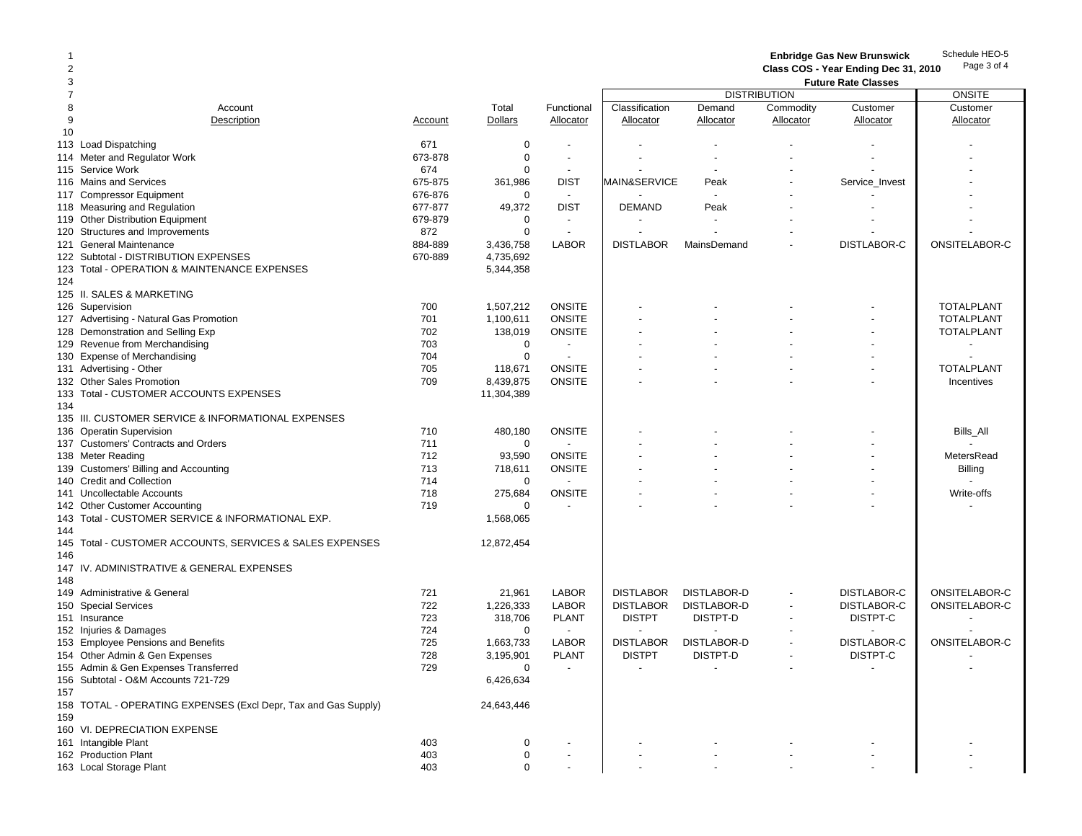Schedule HEO-5 Page 3 of 4 1 **Enbridge Gas New Brunswick**  2 **Class COS - Year Ending Dec 31, 2010** 3 **Future Rate Classes** 7the contract of the contract of the contract of the contract of the contract of the contract of the contract of the contract of the contract of the contract of the contract of the contract of the contract of the contract o 8 Account Total Functional | Classification Demand Commodity Customer Customer 9 Description Account Dollars Allocator Allocator Allocator Allocator Allocator Allocator 10113 Load Dispatching 671 0 - - - - - - 114 Meter and Regulator Work 673-878 0 - - - - - - 115 Service Work 674 0 - - - -116 Mains and Services 675-875 361,986 DIST |MAIN&SERVICE Peak - Service\_Invest | -117 Compressor Equipment 117 Compressor Equipment 117 Compressor Equipment 117 Compressor Equipment 118 Measuring and Regulation Theory Contract Muslim Contract Assembly Contract A9,372 DIST DEMAND Peak 119 Other Distribution Equipment 19 Contract 10 Contract 10 Contract 10 Contract 10 Contract 10 Contract 10 Contract 10 Contract 10 Contract 10 Contract 10 Contract 10 Contract 10 Contract 10 Contract 10 Contract 10 Contra 120 Structures and Improvements 872 0 - - - - - - 121 General Maintenance 884-889 884-889 3,436.758 LABOR DISTLABOR MainsDemand -122 Subtotal - DISTRIBUTION EXPENSES 670-889 4,735,692 123 Total - OPERATION & MAINTENANCE EXPENSES 5,344,358 124125 II. SALES & MARKETING126 Supervision 700 1,507,212 ONSITE | - TOTALPLANT 127 Advertising - Natural Gas Promotion 1990 1000 1000 1000 1,100,611 0NSITE | TOTALPLANT | TOTALPLANT | TOTALPLANT 128 Demonstration and Selling Exp 70 100 100 138,019 138,019 ONSITE | TOTALPLANT | TOTALPLANT 129 Revenue from Merchandising The Contract Contract Contract Contract Contract Contract Contract Contract Contract Contract Contract Contract Contract Contract Contract Contract Contract Contract Contract Contract Contrac 130 Expense of Merchandising 704 0 - - - - - - 131 Advertising - Other Note and Total Plants and Total Plants and Total Plants and Total Plants and Total Plants and Total Plants and Total Plants and Total Plants and Total Plants and Total Plants and Total Plants and To 132 Other Sales Promotion and the control of the control of the control of the control of the control of the control of the control of the control of the control of the control of the control of the control of the control 133 Total - CUSTOMER ACCOUNTS EXPENSES 11,304,389 134 135 III. CUSTOMER SERVICE & INFORMATIONAL EXPENSES136 Operatin Supervision The Contract Constant of the Constant Constant Constant Constant Constant Constant Constant Constant Constant Constant Constant Constant Constant Constant Constant Constant Constant Constant Consta 137 Customers' Contracts and Orders 711 0 - - - - - -138 Meter Reading 712 93,590 ONSITE | - MetersRead 139 Customers' Billing and Accounting The Customers' Billing and Accounting The Customers' Billing and Accounting The Customers' Billing and Accounting The Customers' Billing and Accounting The Theorem The Theorem The Theo 140 Credit and Collection and the collection of the collection of the collection of the collection of the collection of the collection of the collection of the collection of the collection of the collection of the collecti 141 Uncollectable Accounts and the control of the control of the control of the control of the control of the control of the control of the control of the control of the control of the control of the control of the control 142 Other Customer Accounting the community of the community of the community of the community of the community of the community of the community of the community of the community of the community of the community of the c 143 Total - CUSTOMER SERVICE & INFORMATIONAL EXP. 1568,065 1,568,065 144145 Total - CUSTOMER ACCOUNTS, SERVICES & SALES EXPENSES 12,872,454 146147 IV. ADMINISTRATIVE & GENERAL EXPENSES148149 Administrative & General 721 21,961 LABOR DISTLABOR DISTLABOR-D - DISTLABOR-C ONSITELABOR-C 150 Special Services 1,226,333 LABOR | DISTLABOR DISTLABOR-D DISTLABOR-C ONSITELABOR-C 151 Insurance 723 318,706 PLANT | DISTPT DISTPT-D - DISTPT-C | -152 Injuries & Damages **152 Intervention Concernsive Concernsive Concernsive Concernsive Concernsive Concernsive**<br>153 Employee Pensions and Benefits **1526 1.663.733 LABOR DISTLABOR DISTLABOR-D** CONSITELABOR-C ONSITELABOR-C 153 Employee Pensions and Benefits 11,663,733 LABOR DISTLABOR-D - 25 CONSITELABOR-C ONSITELABOR-C ONSITELABOR-C ONSITELABOR-C ONSITELABOR-C ONSITELABOR-C ONSITELABOR-C ONSITELABOR-C ONSITELABOR-C ONSITELABOR-C ONSITELABOR-154 Other Admin & Gen Expenses The State of the Communication of the Communication of the Communication of the Communication of the Communication of the DISTPT-C of the DISTPT-C of the DISTPT-C of the DISTPT-C of the DISTP 155 Admin & Gen Expenses Transferred and the community of the community of the community of the community of the community of the community of the community of the community of the community of the community of the communi 156 Subtotal - O&M Accounts 721-729 6,426,634 157158 TOTAL - OPERATING EXPENSES (Excl Depr, Tax and Gas Supply) 24,643,446 159160 VI. DEPRECIATION EXPENSE161 Intangible Plant 403 0 - - - - - - 162 Production Plant 162 Production Plant 162 Production Plant 163 Local Storage Plant 163 Local Storage Plant 163 Local Storage Plant